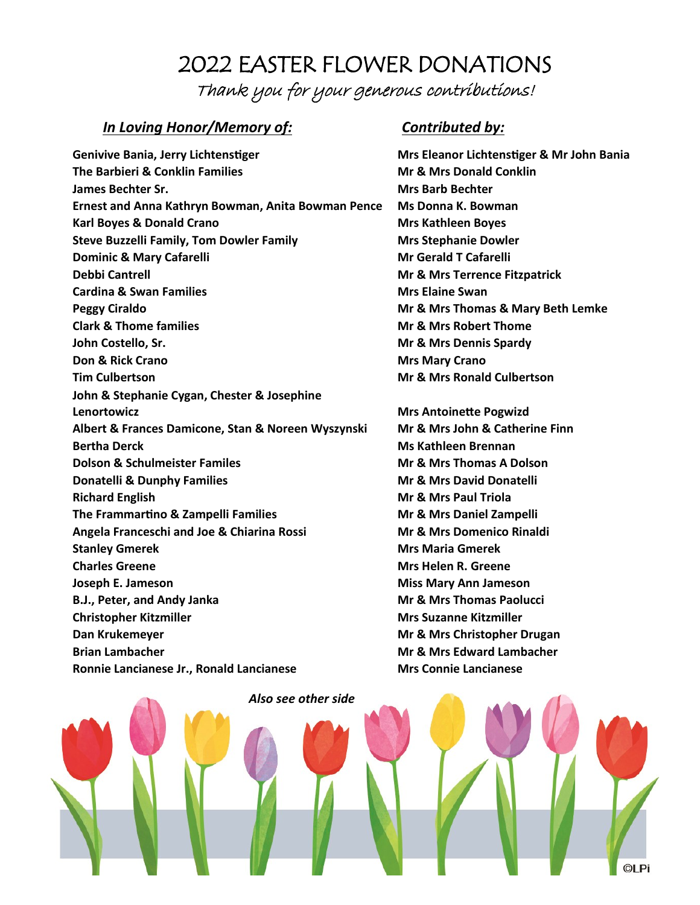# 2022 EASTER FLOWER DONATIONS Thank you for your generous contributions!

## *In Loving Honor/Memory of: Contributed by:*

**Genivive Bania, Jerry Lichtenstiger Mrs Eleanor Lichtenstiger & Mr John Bania The Barbieri & Conklin Families Mr & Mrs Donald Conklin James Bechter Sr. Mrs Barb Bechter Ernest and Anna Kathryn Bowman, Anita Bowman Pence Ms Donna K. Bowman Karl Boyes & Donald Crano Mrs Kathleen Boyes Mrs Kathleen Boyes Steve Buzzelli Family, Tom Dowler Family Mrs Stephanie Dowler Dominic & Mary Cafarelli Mr Gerald T Cafarelli Debbi Cantrell Mr & Mrs Terrence Fitzpatrick Cardina & Swan Families Mrs Elaine Swan Peggy Ciraldo Mr & Mrs Thomas & Mary Beth Lemke Clark & Thome families Mr & Mrs Robert Thome John Costello, Sr. Mr & Mr & Mrs Dennis Spardy Don & Rick Crano Mrs Mary Crano Mrs Mary Crano Tim Culbertson Mr & Mrs Ronald Culbertson** John & Stephanie Cygan, Chester & Josephine **Lenortowicz Mrs Antoinette Pogwizd Albert & Frances Damicone, Stan & Noreen Wyszynski Mr & Mrs John & Catherine Finn Bertha Derck Ms Kathleen Brennan Dolson & Schulmeister Familes Mr & Mrs Thomas A Dolson Donatelli & Dunphy Families Mr & Mr & Mrs David Donatelli Richard English Mr & Mrs Paul Triola The Frammartino & Zampelli Families Mr & Mrs Daniel Zampelli Angela Franceschi and Joe & Chiarina Rossi Mr & Mrs Domenico Rinaldi Stanley Gmerek Mrs Maria Gmerek Charles Greene Mrs Helen R. Greene Joseph E. Jameson Miss Mary Ann Jameson B.J., Peter, and Andy Janka Mr & Mr & Mrs Thomas Paolucci Christopher Kitzmiller Mrs** Suzanne Kitzmiller **Dan Krukemeyer Mr & Mrs Christopher Drugan Brian Lambacher Mr & Mrs Edward Lambacher Ronnie Lancianese Jr., Ronald Lancianese Mrs Connie Lancianese**